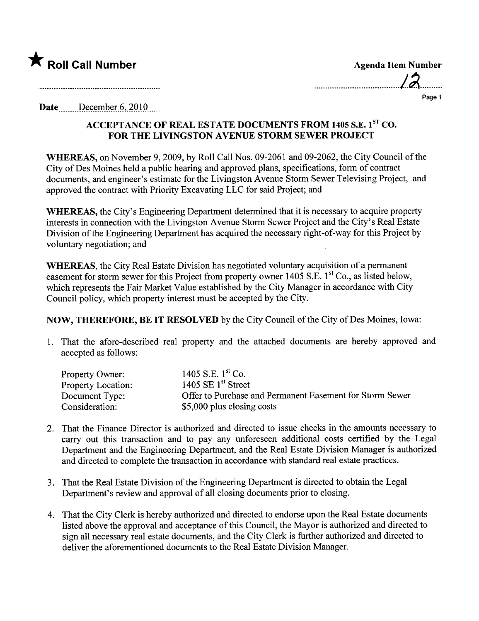

| <b>Agenda Item Number</b> |  |
|---------------------------|--|
| 12                        |  |
| Page 1                    |  |

Date  $Decenter 6, 2010$ ....

## ACCEPTANCE OF REAL ESTATE DOCUMENTS FROM 1405 S.E. 1<sup>st</sup> CO. FOR THE LIVINGSTON AVENUE STORM SEWER PROJECT

WHEREAS, on November 9, 2009, by Roll Call Nos. 09-2061 and 09-2062, the City Council of the City of Des Moines held a public hearing and approved plans, specifications, form of contract documents, and engineer's estimate for the Livingston Avenue Storm Sewer Televising Project, and approved the contract with Priority Excavating LLC for said Project; and

WHEREAS, the City's Engineering Department determined that it is necessary to acquire property interests in connection with the Livingston Avenue Storm Sewer Project and the City's Real Estate Division of the Engineering Department has acquired the necessary right-of-way for this Project by voluntary negotiation; and

WHEREAS, the City Real Estate Division has negotiated voluntary acquisition of a permanent easement for storm sewer for this Project from property owner 1405 S.E. 1<sup>st</sup> Co., as listed below, which represents the Fair Market Value established by the City Manager in accordance with City Council policy, which property interest must be accepted by the City.

NOW, THEREFORE, BE IT RESOLVED by the City Council of the City of Des Moines, Iowa:

1. That the afore-described real property and the attached documents are hereby approved and accepted as follows:

| <b>Property Owner:</b>    | 1405 S.E. $1^{\text{st}}$ Co.                            |
|---------------------------|----------------------------------------------------------|
| <b>Property Location:</b> | 1405 SE $1st$ Street                                     |
| Document Type:            | Offer to Purchase and Permanent Easement for Storm Sewer |
| Consideration:            | \$5,000 plus closing costs                               |

- 2. That the Finance Director is authorized and directed to issue checks in the amounts necessary to carry out this transaction and to pay any unforeseen additional costs certified by the Legal Deparment and the Engineering Deparment, and the Real Estate Division Manager is authorized and directed to complete the transaction in accordance with standard real estate practices.
- 3. That the Real Estate Division of the Engineering Department is directed to obtain the Legal Deparment's review and approval of all closing documents prior to closing.
- 4. That the City Clerk is hereby authorized and directed to endorse upon the Real Estate documents listed above the approval and acceptance of this Council, the Mayor is authorized and directed to sign all necessary real estate documents, and the City Clerk is further authorized and directed to deliver the aforementioned documents to the Real Estate Division Manager.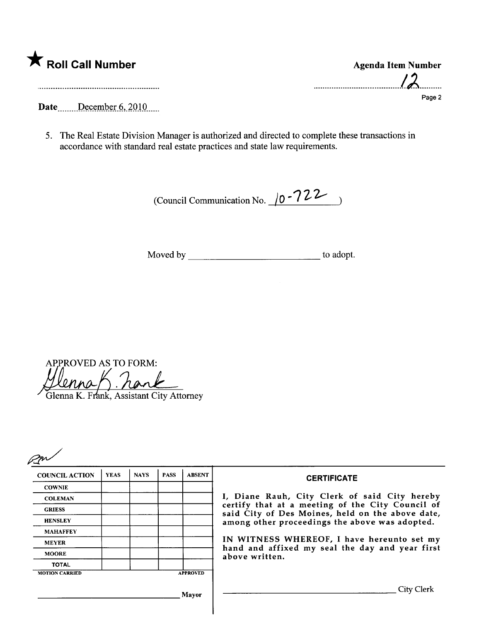|  | K Roll Call Number |  |
|--|--------------------|--|
|  |                    |  |

Agenda Item Number  $12$ Page 2

Date.......December 6, 2010.....

5. The Real Estate Division Manager is authorized and directed to complete these transactions in accordance with standard real estate practices and state law requirements.

(Council Communication No.  $\sqrt{0.22}$ )

Moved by to adopt.

APPROVED AS TO FORM: ennak

Glenna K. Frank, Assistant City Attorney

| <b>COUNCIL ACTION</b> | <b>YEAS</b> | <b>NAYS</b> | <b>PASS</b> | <b>ABSENT</b>   | <b>CERTIFICATE</b>                                                                                   |
|-----------------------|-------------|-------------|-------------|-----------------|------------------------------------------------------------------------------------------------------|
| <b>COWNIE</b>         |             |             |             |                 |                                                                                                      |
| <b>COLEMAN</b>        |             |             |             |                 | I, Diane Rauh, City Clerk of said City hereby                                                        |
| <b>GRIESS</b>         |             |             |             |                 | certify that at a meeting of the City Council of<br>said City of Des Moines, held on the above date, |
| <b>HENSLEY</b>        |             |             |             |                 | among other proceedings the above was adopted.                                                       |
| <b>MAHAFFEY</b>       |             |             |             |                 |                                                                                                      |
| <b>MEYER</b>          |             |             |             |                 | IN WITNESS WHEREOF, I have hereunto set my                                                           |
| <b>MOORE</b>          |             |             |             |                 | hand and affixed my seal the day and year first<br>above written.                                    |
| <b>TOTAL</b>          |             |             |             |                 |                                                                                                      |
| <b>MOTION CARRIED</b> |             |             |             | <b>APPROVED</b> |                                                                                                      |